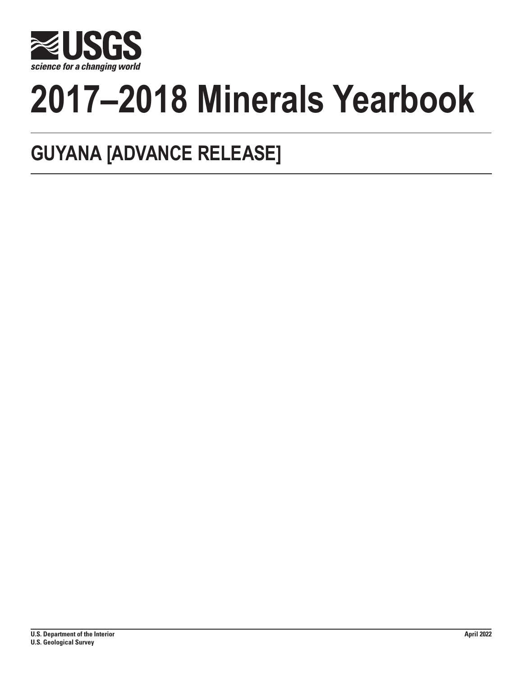

# **2017–2018 Minerals Yearbook**

# **GUYANA [ADVANCE RELEASE]**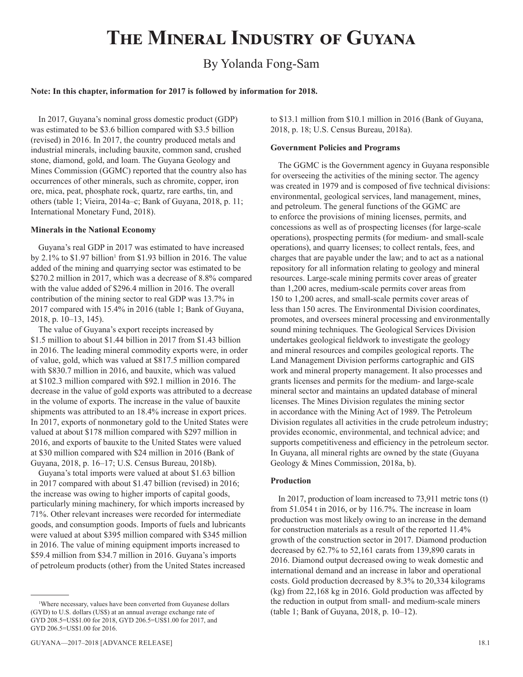# **The Mineral Industry of Guyana**

# By Yolanda Fong-Sam

## **Note: In this chapter, information for 2017 is followed by information for 2018.**

In 2017, Guyana's nominal gross domestic product (GDP) was estimated to be \$3.6 billion compared with \$3.5 billion (revised) in 2016. In 2017, the country produced metals and industrial minerals, including bauxite, common sand, crushed stone, diamond, gold, and loam. The Guyana Geology and Mines Commission (GGMC) reported that the country also has occurrences of other minerals, such as chromite, copper, iron ore, mica, peat, phosphate rock, quartz, rare earths, tin, and others (table 1; Vieira, 2014a–c; Bank of Guyana, 2018, p. 11; International Monetary Fund, 2018).

#### **Minerals in the National Economy**

Guyana's real GDP in 2017 was estimated to have increased by 2.1% to \$1.97 billion<sup>1</sup> from \$1.93 billion in 2016. The value added of the mining and quarrying sector was estimated to be \$270.2 million in 2017, which was a decrease of 8.8% compared with the value added of \$296.4 million in 2016. The overall contribution of the mining sector to real GDP was 13.7% in 2017 compared with 15.4% in 2016 (table 1; Bank of Guyana, 2018, p. 10–13, 145).

The value of Guyana's export receipts increased by \$1.5 million to about \$1.44 billion in 2017 from \$1.43 billion in 2016. The leading mineral commodity exports were, in order of value, gold, which was valued at \$817.5 million compared with \$830.7 million in 2016, and bauxite, which was valued at \$102.3 million compared with \$92.1 million in 2016. The decrease in the value of gold exports was attributed to a decrease in the volume of exports. The increase in the value of bauxite shipments was attributed to an 18.4% increase in export prices. In 2017, exports of nonmonetary gold to the United States were valued at about \$178 million compared with \$297 million in 2016, and exports of bauxite to the United States were valued at \$30 million compared with \$24 million in 2016 (Bank of Guyana, 2018, p. 16–17; U.S. Census Bureau, 2018b).

Guyana's total imports were valued at about \$1.63 billion in 2017 compared with about \$1.47 billion (revised) in 2016; the increase was owing to higher imports of capital goods, particularly mining machinery, for which imports increased by 71%. Other relevant increases were recorded for intermediate goods, and consumption goods. Imports of fuels and lubricants were valued at about \$395 million compared with \$345 million in 2016. The value of mining equipment imports increased to \$59.4 million from \$34.7 million in 2016. Guyana's imports of petroleum products (other) from the United States increased

to \$13.1 million from \$10.1 million in 2016 (Bank of Guyana, 2018, p. 18; U.S. Census Bureau, 2018a).

#### **Government Policies and Programs**

The GGMC is the Government agency in Guyana responsible for overseeing the activities of the mining sector. The agency was created in 1979 and is composed of five technical divisions: environmental, geological services, land management, mines, and petroleum. The general functions of the GGMC are to enforce the provisions of mining licenses, permits, and concessions as well as of prospecting licenses (for large-scale operations), prospecting permits (for medium- and small-scale operations), and quarry licenses; to collect rentals, fees, and charges that are payable under the law; and to act as a national repository for all information relating to geology and mineral resources. Large-scale mining permits cover areas of greater than 1,200 acres, medium-scale permits cover areas from 150 to 1,200 acres, and small-scale permits cover areas of less than 150 acres. The Environmental Division coordinates, promotes, and oversees mineral processing and environmentally sound mining techniques. The Geological Services Division undertakes geological fieldwork to investigate the geology and mineral resources and compiles geological reports. The Land Management Division performs cartographic and GIS work and mineral property management. It also processes and grants licenses and permits for the medium- and large-scale mineral sector and maintains an updated database of mineral licenses. The Mines Division regulates the mining sector in accordance with the Mining Act of 1989. The Petroleum Division regulates all activities in the crude petroleum industry; provides economic, environmental, and technical advice; and supports competitiveness and efficiency in the petroleum sector. In Guyana, all mineral rights are owned by the state (Guyana Geology & Mines Commission, 2018a, b).

#### **Production**

In 2017, production of loam increased to 73,911 metric tons (t) from 51.054 t in 2016, or by 116.7%. The increase in loam production was most likely owing to an increase in the demand for construction materials as a result of the reported 11.4% growth of the construction sector in 2017. Diamond production decreased by 62.7% to 52,161 carats from 139,890 carats in 2016. Diamond output decreased owing to weak domestic and international demand and an increase in labor and operational costs. Gold production decreased by 8.3% to 20,334 kilograms (kg) from 22,168 kg in 2016. Gold production was affected by the reduction in output from small- and medium-scale miners (table 1; Bank of Guyana, 2018, p. 10–12).

<sup>1</sup> Where necessary, values have been converted from Guyanese dollars (GYD) to U.S. dollars (US\$) at an annual average exchange rate of GYD 208.5=US\$1.00 for 2018, GYD 206.5=US\$1.00 for 2017, and GYD 206.5=US\$1.00 for 2016.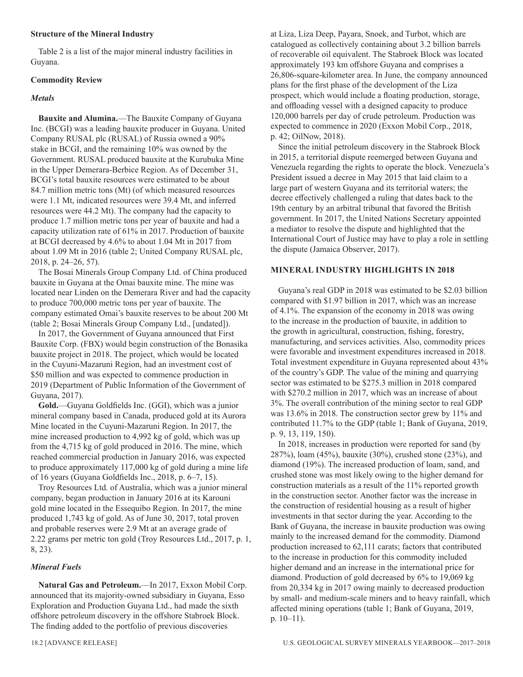# **Structure of the Mineral Industry**

Table 2 is a list of the major mineral industry facilities in Guyana.

# **Commodity Review**

# *Metals*

**Bauxite and Alumina.**—The Bauxite Company of Guyana Inc. (BCGI) was a leading bauxite producer in Guyana. United Company RUSAL plc (RUSAL) of Russia owned a 90% stake in BCGI, and the remaining 10% was owned by the Government. RUSAL produced bauxite at the Kurubuka Mine in the Upper Demerara-Berbice Region. As of December 31, BCGI's total bauxite resources were estimated to be about 84.7 million metric tons (Mt) (of which measured resources were 1.1 Mt, indicated resources were 39.4 Mt, and inferred resources were 44.2 Mt). The company had the capacity to produce 1.7 million metric tons per year of bauxite and had a capacity utilization rate of 61% in 2017. Production of bauxite at BCGI decreased by 4.6% to about 1.04 Mt in 2017 from about 1.09 Mt in 2016 (table 2; United Company RUSAL plc, 2018, p. 24–26, 57).

The Bosai Minerals Group Company Ltd. of China produced bauxite in Guyana at the Omai bauxite mine. The mine was located near Linden on the Demerara River and had the capacity to produce 700,000 metric tons per year of bauxite. The company estimated Omai's bauxite reserves to be about 200 Mt (table 2; Bosai Minerals Group Company Ltd., [undated]).

In 2017, the Government of Guyana announced that First Bauxite Corp. (FBX) would begin construction of the Bonasika bauxite project in 2018. The project, which would be located in the Cuyuni-Mazaruni Region, had an investment cost of \$50 million and was expected to commence production in 2019 (Department of Public Information of the Government of Guyana, 2017).

**Gold.**—Guyana Goldfields Inc. (GGI), which was a junior mineral company based in Canada, produced gold at its Aurora Mine located in the Cuyuni-Mazaruni Region. In 2017, the mine increased production to 4,992 kg of gold, which was up from the 4,715 kg of gold produced in 2016. The mine, which reached commercial production in January 2016, was expected to produce approximately 117,000 kg of gold during a mine life of 16 years (Guyana Goldfields Inc., 2018, p. 6–7, 15).

Troy Resources Ltd. of Australia, which was a junior mineral company, began production in January 2016 at its Karouni gold mine located in the Essequibo Region. In 2017, the mine produced 1,743 kg of gold. As of June 30, 2017, total proven and probable reserves were 2.9 Mt at an average grade of 2.22 grams per metric ton gold (Troy Resources Ltd., 2017, p. 1, 8, 23).

# *Mineral Fuels*

**Natural Gas and Petroleum.**—In 2017, Exxon Mobil Corp. announced that its majority-owned subsidiary in Guyana, Esso Exploration and Production Guyana Ltd., had made the sixth offshore petroleum discovery in the offshore Stabroek Block. The finding added to the portfolio of previous discoveries

at Liza, Liza Deep, Payara, Snoek, and Turbot, which are catalogued as collectively containing about 3.2 billion barrels of recoverable oil equivalent. The Stabroek Block was located approximately 193 km offshore Guyana and comprises a 26,806-square-kilometer area. In June, the company announced plans for the first phase of the development of the Liza prospect, which would include a floating production, storage, and offloading vessel with a designed capacity to produce 120,000 barrels per day of crude petroleum. Production was expected to commence in 2020 (Exxon Mobil Corp., 2018, p. 42; OilNow, 2018).

Since the initial petroleum discovery in the Stabroek Block in 2015, a territorial dispute reemerged between Guyana and Venezuela regarding the rights to operate the block. Venezuela's President issued a decree in May 2015 that laid claim to a large part of western Guyana and its territorial waters; the decree effectively challenged a ruling that dates back to the 19th century by an arbitral tribunal that favored the British government. In 2017, the United Nations Secretary appointed a mediator to resolve the dispute and highlighted that the International Court of Justice may have to play a role in settling the dispute (Jamaica Observer, 2017).

# **MINERAL INDUSTRY HIGHLIGHTS IN 2018**

Guyana's real GDP in 2018 was estimated to be \$2.03 billion compared with \$1.97 billion in 2017, which was an increase of 4.1%. The expansion of the economy in 2018 was owing to the increase in the production of bauxite, in addition to the growth in agricultural, construction, fishing, forestry, manufacturing, and services activities. Also, commodity prices were favorable and investment expenditures increased in 2018. Total investment expenditure in Guyana represented about 43% of the country's GDP. The value of the mining and quarrying sector was estimated to be \$275.3 million in 2018 compared with \$270.2 million in 2017, which was an increase of about 3%. The overall contribution of the mining sector to real GDP was 13.6% in 2018. The construction sector grew by 11% and contributed 11.7% to the GDP (table 1; Bank of Guyana, 2019, p. 9, 13, 119, 150).

In 2018, increases in production were reported for sand (by 287%), loam (45%), bauxite (30%), crushed stone (23%), and diamond (19%). The increased production of loam, sand, and crushed stone was most likely owing to the higher demand for construction materials as a result of the 11% reported growth in the construction sector. Another factor was the increase in the construction of residential housing as a result of higher investments in that sector during the year. According to the Bank of Guyana, the increase in bauxite production was owing mainly to the increased demand for the commodity. Diamond production increased to 62,111 carats; factors that contributed to the increase in production for this commodity included higher demand and an increase in the international price for diamond. Production of gold decreased by 6% to 19,069 kg from 20,334 kg in 2017 owing mainly to decreased production by small- and medium-scale miners and to heavy rainfall, which affected mining operations (table 1; Bank of Guyana, 2019, p. 10–11).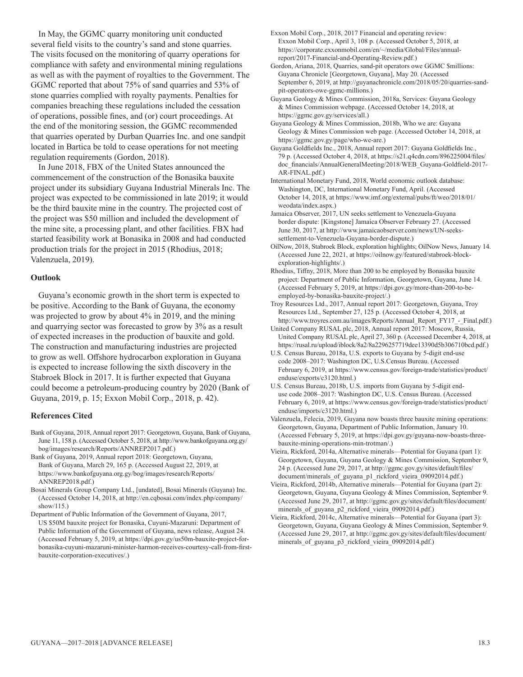In May, the GGMC quarry monitoring unit conducted several field visits to the country's sand and stone quarries. The visits focused on the monitoring of quarry operations for compliance with safety and environmental mining regulations as well as with the payment of royalties to the Government. The GGMC reported that about 75% of sand quarries and 53% of stone quarries complied with royalty payments. Penalties for companies breaching these regulations included the cessation of operations, possible fines, and (or) court proceedings. At the end of the monitoring session, the GGMC recommended that quarries operated by Durban Quarries Inc. and one sandpit located in Bartica be told to cease operations for not meeting regulation requirements (Gordon, 2018).

In June 2018, FBX of the United States announced the commencement of the construction of the Bonasika bauxite project under its subsidiary Guyana Industrial Minerals Inc. The project was expected to be commissioned in late 2019; it would be the third bauxite mine in the country. The projected cost of the project was \$50 million and included the development of the mine site, a processing plant, and other facilities. FBX had started feasibility work at Bonasika in 2008 and had conducted production trials for the project in 2015 (Rhodius, 2018; Valenzuela, 2019).

# **Outlook**

Guyana's economic growth in the short term is expected to be positive. According to the Bank of Guyana, the economy was projected to grow by about 4% in 2019, and the mining and quarrying sector was forecasted to grow by 3% as a result of expected increases in the production of bauxite and gold. The construction and manufacturing industries are projected to grow as well. Offshore hydrocarbon exploration in Guyana is expected to increase following the sixth discovery in the Stabroek Block in 2017. It is further expected that Guyana could become a petroleum-producing country by 2020 (Bank of Guyana, 2019, p. 15; Exxon Mobil Corp., 2018, p. 42).

# **References Cited**

- Bank of Guyana, 2018, Annual report 2017: Georgetown, Guyana, Bank of Guyana, June 11, 158 p. (Accessed October 5, 2018, at http://www.bankofguyana.org.gy/ bog/images/research/Reports/ANNREP2017.pdf.)
- Bank of Guyana, 2019, Annual report 2018: Georgetown, Guyana, Bank of Guyana, March 29, 165 p. (Accessed August 22, 2019, at https://www.bankofguyana.org.gy/bog/images/research/Reports/ ANNREP2018.pdf.)
- Bosai Minerals Group Company Ltd., [undated], Bosai Minerals (Guyana) Inc. (Accessed October 14, 2018, at http://en.cqbosai.com/index.php/company/ show/115.)
- Department of Public Information of the Government of Guyana, 2017, US \$50M bauxite project for Bonasika, Cuyuni-Mazaruni: Department of Public Information of the Government of Guyana, news release, August 24. (Accessed February 5, 2019, at https://dpi.gov.gy/us50m-bauxite-project-forbonasika-cuyuni-mazaruni-minister-harmon-receives-courtesy-call-from-firstbauxite-corporation-executives/.)

Exxon Mobil Corp., 2018, 2017 Financial and operating review: Exxon Mobil Corp., April 3, 108 p. (Accessed October 5, 2018, at https://corporate.exxonmobil.com/en/~/media/Global/Files/annualreport/2017-Financial-and-Operating-Review.pdf.)

Gordon, Ariana, 2018, Quarries, sand-pit operators owe GGMC \$millions: Guyana Chronicle [Georgetown, Guyana], May 20. (Accessed September 6, 2019, at http://guyanachronicle.com/2018/05/20/quarries-sandpit-operators-owe-ggmc-millions.)

- Guyana Geology & Mines Commission, 2018a, Services: Guyana Geology & Mines Commission webpage. (Accessed October 14, 2018, at https://ggmc.gov.gy/services/all.)
- Guyana Geology & Mines Commission, 2018b, Who we are: Guyana Geology & Mines Commission web page. (Accessed October 14, 2018, at https://ggmc.gov.gy/page/who-we-are.)
- Guyana Goldfields Inc., 2018, Annual report 2017: Guyana Goldfields Inc., 79 p. (Accessed October 4, 2018, at https://s21.q4cdn.com/896225004/files/ doc\_financials/AnnualGeneralMeeting/2018/WEB\_Guyana-Goldfield-2017- AR-FINAL.pdf.)
- International Monetary Fund, 2018, World economic outlook database: Washington, DC, International Monetary Fund, April. (Accessed October 14, 2018, at https://www.imf.org/external/pubs/ft/weo/2018/01/ weodata/index.aspx.)
- Jamaica Observer, 2017, UN seeks settlement to Venezuela-Guyana border dispute: [Kingstone] Jamaica Observer February 27. (Accessed June 30, 2017, at http://www.jamaicaobserver.com/news/UN-seekssettlement-to-Venezuela-Guyana-border-dispute.)
- OilNow, 2018, Stabroek Block, exploration highlights; OilNow News, January 14. (Accessed June 22, 2021, at https://oilnow.gy/featured/stabroek-blockexploration-highlights/.)
- Rhodius, Tiffny, 2018, More than 200 to be employed by Bonasika bauxite project: Department of Public Information, Georgetown, Guyana, June 14. (Accessed February 5, 2019, at https://dpi.gov.gy/more-than-200-to-beemployed-by-bonasika-bauxite-project/.)
- Troy Resources Ltd., 2017, Annual report 2017: Georgetown, Guyana, Troy Resources Ltd., September 27, 125 p. (Accessed October 4, 2018, at http://www.troyres.com.au/images/Reports/Annual\_Report\_FY17\_-\_Final.pdf.)
- United Company RUSAL plc, 2018, Annual report 2017: Moscow, Russia, United Company RUSAL plc, April 27, 360 p. (Accessed December 4, 2018, at https://rusal.ru/upload/iblock/8a2/8a2296257719dee13390d5b306710bcd.pdf.)
- U.S. Census Bureau, 2018a, U.S. exports to Guyana by 5-digit end-use code 2008–2017: Washington DC, U.S.Census Bureau. (Accessed February 6, 2019, at https://www.census.gov/foreign-trade/statistics/product/ enduse/exports/c3120.html.)
- U.S. Census Bureau, 2018b, U.S. imports from Guyana by 5-digit enduse code 2008–2017: Washington DC, U.S. Census Bureau. (Accessed February 6, 2019, at https://www.census.gov/foreign-trade/statistics/product/ enduse/imports/c3120.html.)
- Valenzuela, Felecia, 2019, Guyana now boasts three bauxite mining operations: Georgetown, Guyana, Department of Public Information, January 10. (Accessed February 5, 2019, at https://dpi.gov.gy/guyana-now-boasts-threebauxite-mining-operations-min-trotman/.)
- Vieira, Rickford, 2014a, Alternative minerals—Potential for Guyana (part 1): Georgetown, Guyana, Guyana Geology & Mines Commission, September 9, 24 p. (Accessed June 29, 2017, at http://ggmc.gov.gy/sites/default/files/ document/minerals\_of\_guyana\_p1\_rickford\_vieira\_09092014.pdf.)
- Vieira, Rickford, 2014b, Alternative minerals—Potential for Guyana (part 2): Georgetown, Guyana, Guyana Geology & Mines Commission, September 9. (Accessed June 29, 2017, at http://ggmc.gov.gy/sites/default/files/document/ minerals\_of\_guyana\_p2\_rickford\_vieira\_09092014.pdf.)
- Vieira, Rickford, 2014c, Alternative minerals—Potential for Guyana (part 3): Georgetown, Guyana, Guyana Geology & Mines Commission, September 9. (Accessed June 29, 2017, at http://ggmc.gov.gy/sites/default/files/document/ minerals\_of\_guyana\_p3\_rickford\_vieira\_09092014.pdf.)